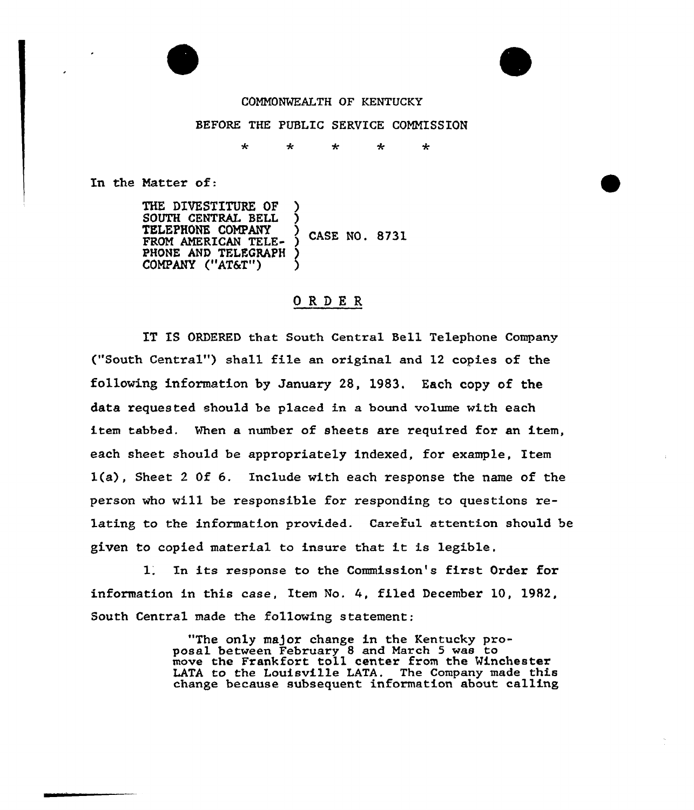

## COMMONWEALTH OF KENTUCKY

## BEFORE THE PUBLIC SERVICE CONNISSION

 $\ddot{\textbf{r}}$  $\mathbf{r}$ ÷ نیه  $\star$ 

In the Natter of:

THE DIVESTITURE OF SOUTH CENTRAL BELL ) TELEPHONE COMPANY CASE NO. 8731 FROM AMERICAN TELE-PHONE AND TELEGRAPH COMPANY ("AT&T")

## ORDER

IT IS ORDERED that South Central Bell Telephone Company ("South Central") shall file an original and 12 copies of the following information by January 28, 1983. Each copy of the data requested should be placed in a bound volume with each item tabbed. When a number of sheets are required for an item, each sheet should be appropriately indexed, for example, Item l(a), Sheet <sup>2</sup> Of 6. Include with each response the name of the person who will be responsible for responding to questions relating to the information provided. Careful attention should be given to copied material to insure that it is legible,

l. In its response to the Commission's first Order for information in this case, Item No. 4, filed December 10, 1982, South Central made the following statement:

> "The only major change in the Kentucky proposal between February 8 and March 5 was to move the Frankfort toll center from the Winchester LATA to the Louisville LATA. The Company made this change because subsequent information about calling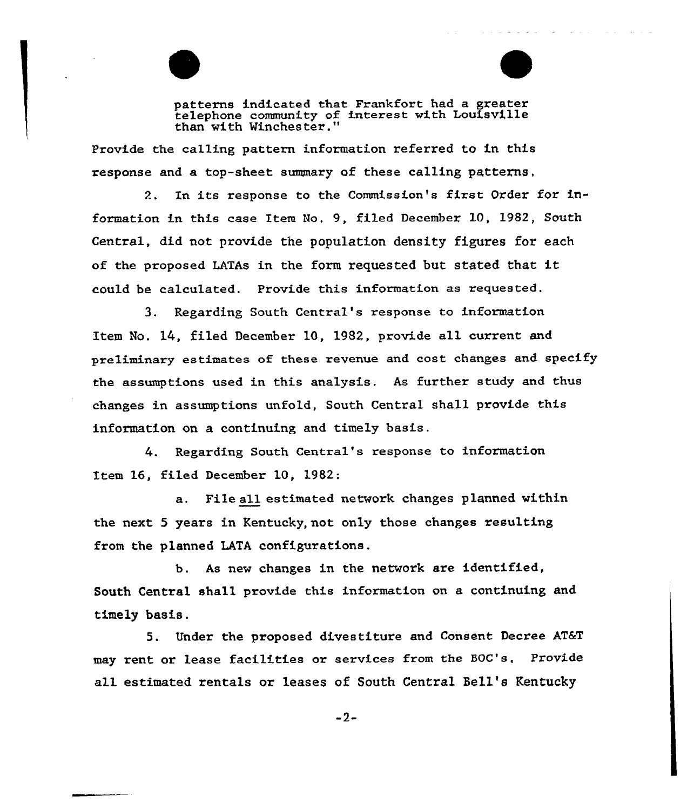patterns indicated that Frankfort had a greater telephone community of interest with Louisville than with Winchester."

Provide the calling pattern information referred to in this response and a top-sheet summary of these calling patterns,

2. In its response to the Commission's first Order for information in this case Iten No, 9, filed December 10, 1982, South Central, did not provide the population density figures for each of the proposed LATAs in the form requested but stated that it could be calculated. Provide this information as requested.

3. Regarding South Central's response to information Item No. 14, filed December 10, 1982, provide all current and preliminary estimates of these revenue and cost changes and specify the assumptions used in this analysis. As further study and thus changes in assumptions unfold, South Central shall provide this information on a continuing and timely basis.

4. Regarding South Central's response to information Item 16, filed December 10, 1982:

a. File all estimated network changes planned within the next 5 years in Kentucky, not only those changes resulting from the planned LATA configurations.

b. As new changes in the network are identified, South Central shall provide this information on a continuing and timely basis.

5. Under the proposed divestiture and Consent Decree AT&T may rent or lease facilities or services from the BOG's, Provide all estimated rentals or leases of South Central Bell's Kentucky

-2-